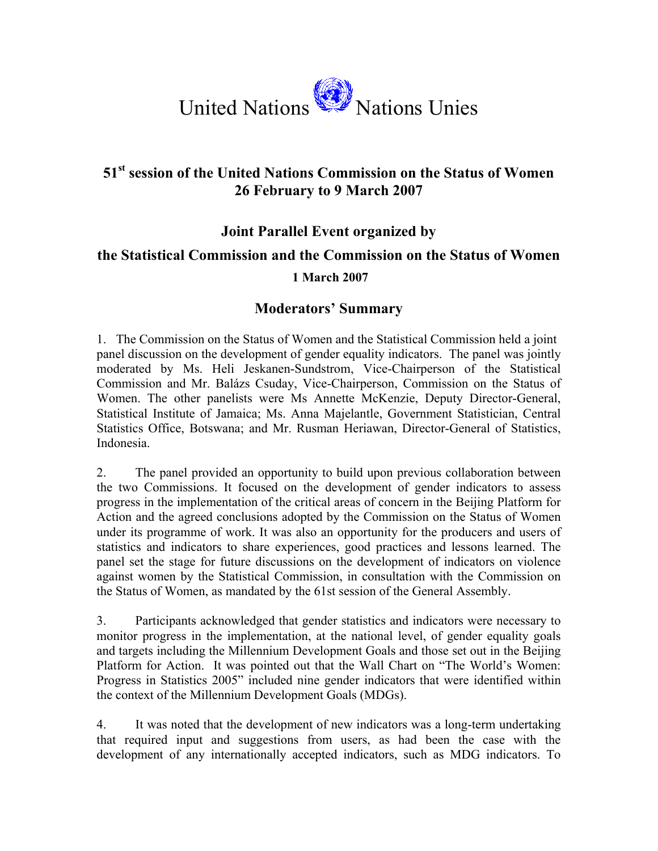

# **51st session of the United Nations Commission on the Status of Women 26 February to 9 March 2007**

### **Joint Parallel Event organized by**

# **the Statistical Commission and the Commission on the Status of Women**

#### **1 March 2007**

## **Moderators' Summary**

1. The Commission on the Status of Women and the Statistical Commission held a joint panel discussion on the development of gender equality indicators. The panel was jointly moderated by Ms. Heli Jeskanen-Sundstrom, Vice-Chairperson of the Statistical Commission and Mr. Balázs Csuday, Vice-Chairperson, Commission on the Status of Women. The other panelists were Ms Annette McKenzie, Deputy Director-General, Statistical Institute of Jamaica; Ms. Anna Majelantle, Government Statistician, Central Statistics Office, Botswana; and Mr. Rusman Heriawan, Director-General of Statistics, Indonesia.

2. The panel provided an opportunity to build upon previous collaboration between the two Commissions. It focused on the development of gender indicators to assess progress in the implementation of the critical areas of concern in the Beijing Platform for Action and the agreed conclusions adopted by the Commission on the Status of Women under its programme of work. It was also an opportunity for the producers and users of statistics and indicators to share experiences, good practices and lessons learned. The panel set the stage for future discussions on the development of indicators on violence against women by the Statistical Commission, in consultation with the Commission on the Status of Women, as mandated by the 61st session of the General Assembly.

3. Participants acknowledged that gender statistics and indicators were necessary to monitor progress in the implementation, at the national level, of gender equality goals and targets including the Millennium Development Goals and those set out in the Beijing Platform for Action. It was pointed out that the Wall Chart on "The World's Women: Progress in Statistics 2005" included nine gender indicators that were identified within the context of the Millennium Development Goals (MDGs).

4. It was noted that the development of new indicators was a long-term undertaking that required input and suggestions from users, as had been the case with the development of any internationally accepted indicators, such as MDG indicators. To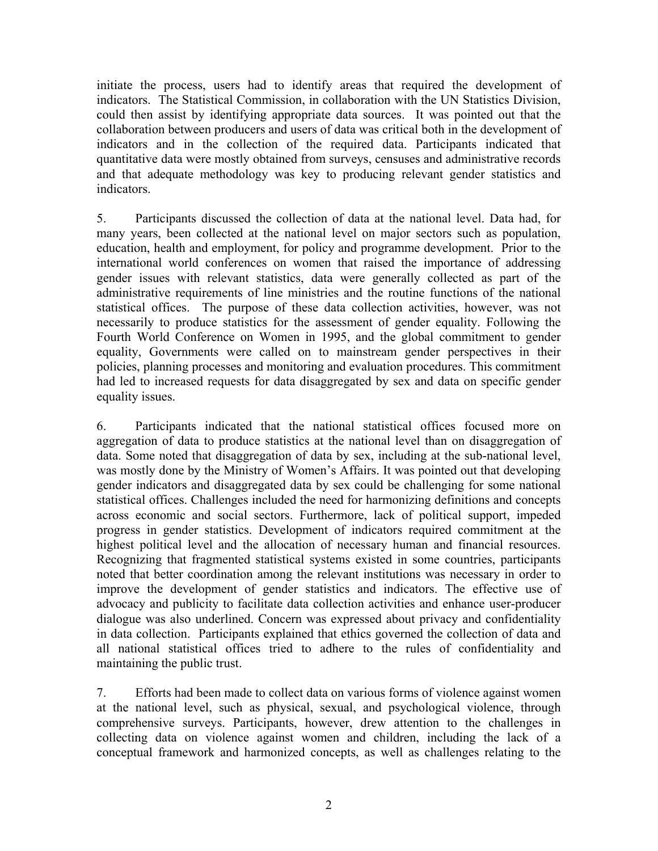initiate the process, users had to identify areas that required the development of indicators. The Statistical Commission, in collaboration with the UN Statistics Division, could then assist by identifying appropriate data sources. It was pointed out that the collaboration between producers and users of data was critical both in the development of indicators and in the collection of the required data. Participants indicated that quantitative data were mostly obtained from surveys, censuses and administrative records and that adequate methodology was key to producing relevant gender statistics and indicators.

5. Participants discussed the collection of data at the national level. Data had, for many years, been collected at the national level on major sectors such as population, education, health and employment, for policy and programme development. Prior to the international world conferences on women that raised the importance of addressing gender issues with relevant statistics, data were generally collected as part of the administrative requirements of line ministries and the routine functions of the national statistical offices. The purpose of these data collection activities, however, was not necessarily to produce statistics for the assessment of gender equality. Following the Fourth World Conference on Women in 1995, and the global commitment to gender equality, Governments were called on to mainstream gender perspectives in their policies, planning processes and monitoring and evaluation procedures. This commitment had led to increased requests for data disaggregated by sex and data on specific gender equality issues.

6. Participants indicated that the national statistical offices focused more on aggregation of data to produce statistics at the national level than on disaggregation of data. Some noted that disaggregation of data by sex, including at the sub-national level, was mostly done by the Ministry of Women's Affairs. It was pointed out that developing gender indicators and disaggregated data by sex could be challenging for some national statistical offices. Challenges included the need for harmonizing definitions and concepts across economic and social sectors. Furthermore, lack of political support, impeded progress in gender statistics. Development of indicators required commitment at the highest political level and the allocation of necessary human and financial resources. Recognizing that fragmented statistical systems existed in some countries, participants noted that better coordination among the relevant institutions was necessary in order to improve the development of gender statistics and indicators. The effective use of advocacy and publicity to facilitate data collection activities and enhance user-producer dialogue was also underlined. Concern was expressed about privacy and confidentiality in data collection. Participants explained that ethics governed the collection of data and all national statistical offices tried to adhere to the rules of confidentiality and maintaining the public trust.

7. Efforts had been made to collect data on various forms of violence against women at the national level, such as physical, sexual, and psychological violence, through comprehensive surveys. Participants, however, drew attention to the challenges in collecting data on violence against women and children, including the lack of a conceptual framework and harmonized concepts, as well as challenges relating to the